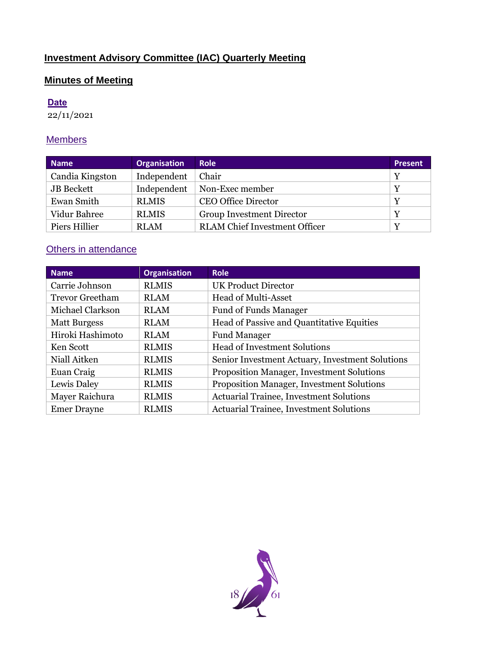# **Investment Advisory Committee (IAC) Quarterly Meeting**

## **Minutes of Meeting**

## **Date**

22/11/2021

## **Members**

| <b>Name</b>       | <b>Organisation</b> | <b>Role</b>                          | <b>Present</b> |
|-------------------|---------------------|--------------------------------------|----------------|
| Candia Kingston   | Independent         | Chair                                | Y              |
| <b>JB</b> Beckett | Independent         | Non-Exec member                      | Y              |
| Ewan Smith        | <b>RLMIS</b>        | <b>CEO Office Director</b>           | Y              |
| Vidur Bahree      | <b>RLMIS</b>        | Group Investment Director            | $\mathbf v$    |
| Piers Hillier     | <b>RLAM</b>         | <b>RLAM</b> Chief Investment Officer | $\mathbf v$    |

# **Others in attendance**

| <b>Name</b>            | <b>Organisation</b> | <b>Role</b>                                     |
|------------------------|---------------------|-------------------------------------------------|
| Carrie Johnson         | <b>RLMIS</b>        | <b>UK Product Director</b>                      |
| <b>Trevor Greetham</b> | <b>RLAM</b>         | <b>Head of Multi-Asset</b>                      |
| Michael Clarkson       | <b>RLAM</b>         | <b>Fund of Funds Manager</b>                    |
| <b>Matt Burgess</b>    | <b>RLAM</b>         | Head of Passive and Quantitative Equities       |
| Hiroki Hashimoto       | <b>RLAM</b>         | <b>Fund Manager</b>                             |
| Ken Scott              | <b>RLMIS</b>        | <b>Head of Investment Solutions</b>             |
| Niall Aitken           | <b>RLMIS</b>        | Senior Investment Actuary, Investment Solutions |
| Euan Craig             | <b>RLMIS</b>        | Proposition Manager, Investment Solutions       |
| Lewis Daley            | <b>RLMIS</b>        | Proposition Manager, Investment Solutions       |
| Mayer Raichura         | <b>RLMIS</b>        | <b>Actuarial Trainee, Investment Solutions</b>  |
| <b>Emer Drayne</b>     | <b>RLMIS</b>        | <b>Actuarial Trainee, Investment Solutions</b>  |

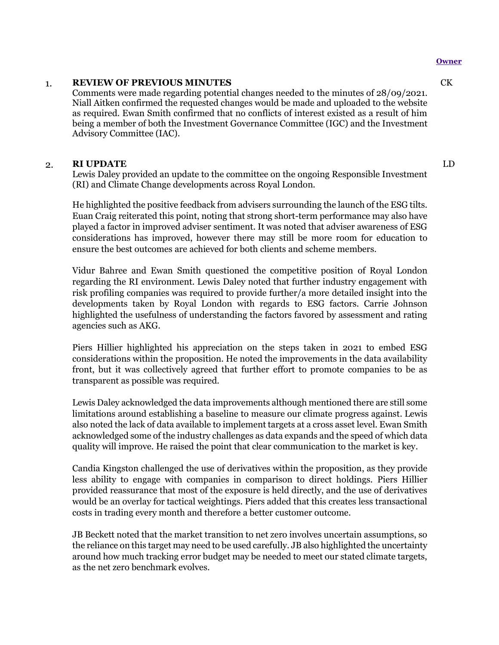#### **Owner**

#### 1. **REVIEW OF PREVIOUS MINUTES**

Comments were made regarding potential changes needed to the minutes of 28/09/2021. Niall Aitken confirmed the requested changes would be made and uploaded to the website as required. Ewan Smith confirmed that no conflicts of interest existed as a result of him being a member of both the Investment Governance Committee (IGC) and the Investment Advisory Committee (IAC).

#### 2. **RI UPDATE**

Lewis Daley provided an update to the committee on the ongoing Responsible Investment (RI) and Climate Change developments across Royal London.

He highlighted the positive feedback from advisers surrounding the launch of the ESG tilts. Euan Craig reiterated this point, noting that strong short-term performance may also have played a factor in improved adviser sentiment. It was noted that adviser awareness of ESG considerations has improved, however there may still be more room for education to ensure the best outcomes are achieved for both clients and scheme members.

Vidur Bahree and Ewan Smith questioned the competitive position of Royal London regarding the RI environment. Lewis Daley noted that further industry engagement with risk profiling companies was required to provide further/a more detailed insight into the developments taken by Royal London with regards to ESG factors. Carrie Johnson highlighted the usefulness of understanding the factors favored by assessment and rating agencies such as AKG.

Piers Hillier highlighted his appreciation on the steps taken in 2021 to embed ESG considerations within the proposition. He noted the improvements in the data availability front, but it was collectively agreed that further effort to promote companies to be as transparent as possible was required.

Lewis Daley acknowledged the data improvements although mentioned there are still some limitations around establishing a baseline to measure our climate progress against. Lewis also noted the lack of data available to implement targets at a cross asset level. Ewan Smith acknowledged some of the industry challenges as data expands and the speed of which data quality will improve. He raised the point that clear communication to the market is key.

Candia Kingston challenged the use of derivatives within the proposition, as they provide less ability to engage with companies in comparison to direct holdings. Piers Hillier provided reassurance that most of the exposure is held directly, and the use of derivatives would be an overlay for tactical weightings. Piers added that this creates less transactional costs in trading every month and therefore a better customer outcome.

JB Beckett noted that the market transition to net zero involves uncertain assumptions, so the reliance on this target may need to be used carefully. JB also highlighted the uncertainty around how much tracking error budget may be needed to meet our stated climate targets, as the net zero benchmark evolves.

CK

LD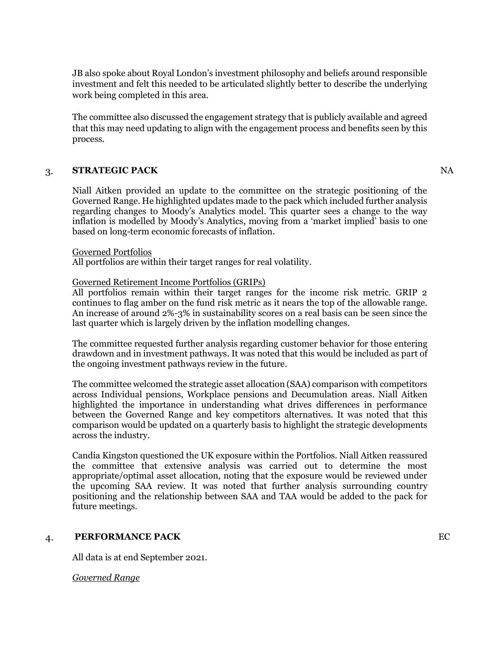JB also spoke about Royal London's investment philosophy and beliefs around responsible investment and felt this needed to be articulated slightly better to describe the underlying work being completed in this area.

The committee also discussed the engagement strategy that is publicly available and agreed that this may need updating to align with the engagement process and benefits seen by this process.

#### 3. **STRATEGIC PACK**

Niall Aitken provided an update to the committee on the strategic positioning of the Governed Range. He highlighted updates made to the pack which included further analysis regarding changes to Moody's Analytics model. This quarter sees a change to the way inflation is modelled by Moody's Analytics, moving from a 'market implied' basis to one based on long-term economic forecasts of inflation.

#### Governed Portfolios

All portfolios are within their target ranges for real volatility.

#### Governed Retirement Income Portfolios (GRIPs)

All portfolios remain within their target ranges for the income risk metric. GRIP 2 continues to flag amber on the fund risk metric as it nears the top of the allowable range. An increase of around 2%-3% in sustainability scores on a real basis can be seen since the last quarter which is largely driven by the inflation modelling changes.

The committee requested further analysis regarding customer behavior for those entering drawdown and in investment pathways. It was noted that this would be included as part of the ongoing investment pathways review in the future.

The committee welcomed the strategic asset allocation (SAA) comparison with competitors across Individual pensions, Workplace pensions and Decumulation areas. Niall Aitken highlighted the importance in understanding what drives differences in performance between the Governed Range and key competitors alternatives. It was noted that this comparison would be updated on a quarterly basis to highlight the strategic developments across the industry.

Candia Kingston questioned the UK exposure within the Portfolios. Niall Aitken reassured the committee that extensive analysis was carried out to determine the most appropriate/optimal asset allocation, noting that the exposure would be reviewed under the upcoming SAA review. It was noted that further analysis surrounding country positioning and the relationship between SAA and TAA would be added to the pack for future meetings.

#### 4. **PERFORMANCE PACK**

All data is at end September 2021.

#### *Governed Range*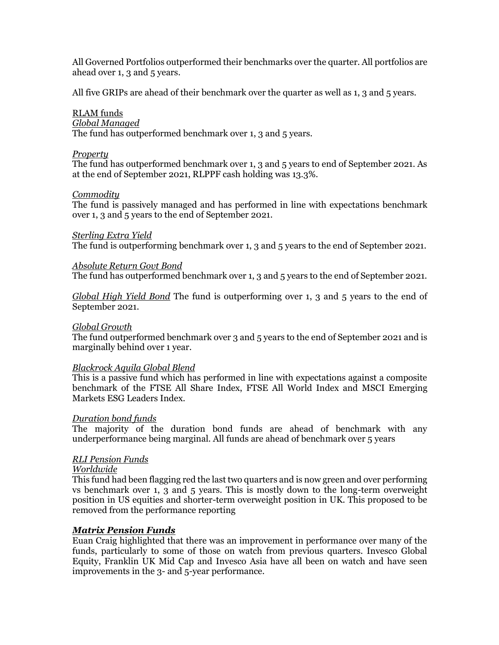All Governed Portfolios outperformed their benchmarks over the quarter. All portfolios are ahead over 1, 3 and 5 years.

All five GRIPs are ahead of their benchmark over the quarter as well as 1, 3 and 5 years.

## RLAM funds

## *Global Managed*

The fund has outperformed benchmark over 1, 3 and 5 years.

#### *Property*

The fund has outperformed benchmark over 1, 3 and 5 years to end of September 2021. As at the end of September 2021, RLPPF cash holding was 13.3%.

#### *Commodity*

The fund is passively managed and has performed in line with expectations benchmark over 1, 3 and 5 years to the end of September 2021.

#### *Sterling Extra Yield*

The fund is outperforming benchmark over 1, 3 and 5 years to the end of September 2021.

#### *Absolute Return Govt Bond*

The fund has outperformed benchmark over 1, 3 and 5 years to the end of September 2021.

*Global High Yield Bond* The fund is outperforming over 1, 3 and 5 years to the end of September 2021.

#### *Global Growth*

The fund outperformed benchmark over 3 and 5 years to the end of September 2021 and is marginally behind over 1 year.

#### *Blackrock Aquila Global Blend*

This is a passive fund which has performed in line with expectations against a composite benchmark of the FTSE All Share Index, FTSE All World Index and MSCI Emerging Markets ESG Leaders Index.

#### *Duration bond funds*

The majority of the duration bond funds are ahead of benchmark with any underperformance being marginal. All funds are ahead of benchmark over 5 years

### *RLI Pension Funds*

#### *Worldwide*

This fund had been flagging red the last two quarters and is now green and over performing vs benchmark over 1, 3 and 5 years. This is mostly down to the long-term overweight position in US equities and shorter-term overweight position in UK. This proposed to be removed from the performance reporting

### *Matrix Pension Funds*

Euan Craig highlighted that there was an improvement in performance over many of the funds, particularly to some of those on watch from previous quarters. Invesco Global Equity, Franklin UK Mid Cap and Invesco Asia have all been on watch and have seen improvements in the 3- and 5-year performance.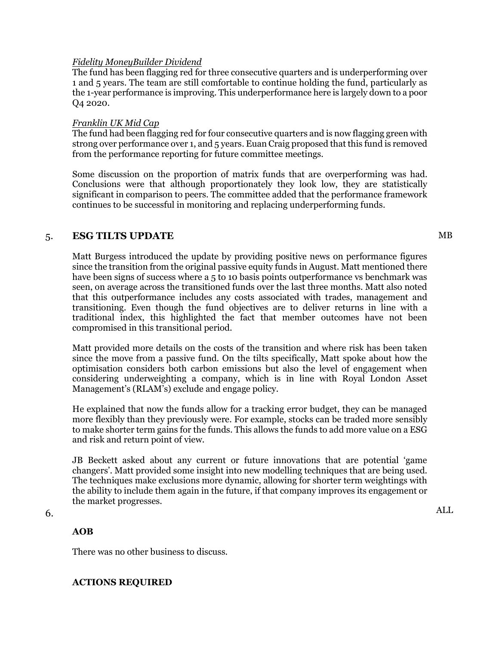#### *Fidelity MoneyBuilder Dividend*

The fund has been flagging red for three consecutive quarters and is underperforming over 1 and 5 years. The team are still comfortable to continue holding the fund, particularly as the 1-year performance is improving. This underperformance here is largely down to a poor Q4 2020.

#### *Franklin UK Mid Cap*

The fund had been flagging red for four consecutive quarters and is now flagging green with strong over performance over 1, and 5 years. Euan Craig proposed that this fund is removed from the performance reporting for future committee meetings.

Some discussion on the proportion of matrix funds that are overperforming was had. Conclusions were that although proportionately they look low, they are statistically significant in comparison to peers. The committee added that the performance framework continues to be successful in monitoring and replacing underperforming funds.

#### 5. **ESG TILTS UPDATE**

Matt Burgess introduced the update by providing positive news on performance figures since the transition from the original passive equity funds in August. Matt mentioned there have been signs of success where a 5 to 10 basis points outperformance vs benchmark was seen, on average across the transitioned funds over the last three months. Matt also noted that this outperformance includes any costs associated with trades, management and transitioning. Even though the fund objectives are to deliver returns in line with a traditional index, this highlighted the fact that member outcomes have not been compromised in this transitional period.

Matt provided more details on the costs of the transition and where risk has been taken since the move from a passive fund. On the tilts specifically, Matt spoke about how the optimisation considers both carbon emissions but also the level of engagement when considering underweighting a company, which is in line with Royal London Asset Management's (RLAM's) exclude and engage policy.

He explained that now the funds allow for a tracking error budget, they can be managed more flexibly than they previously were. For example, stocks can be traded more sensibly to make shorter term gains for the funds. This allows the funds to add more value on a ESG and risk and return point of view.

JB Beckett asked about any current or future innovations that are potential 'game changers'. Matt provided some insight into new modelling techniques that are being used. The techniques make exclusions more dynamic, allowing for shorter term weightings with the ability to include them again in the future, if that company improves its engagement or the market progresses.

6.

### **AOB**

There was no other business to discuss.

### **ACTIONS REQUIRED**

MB

ALL